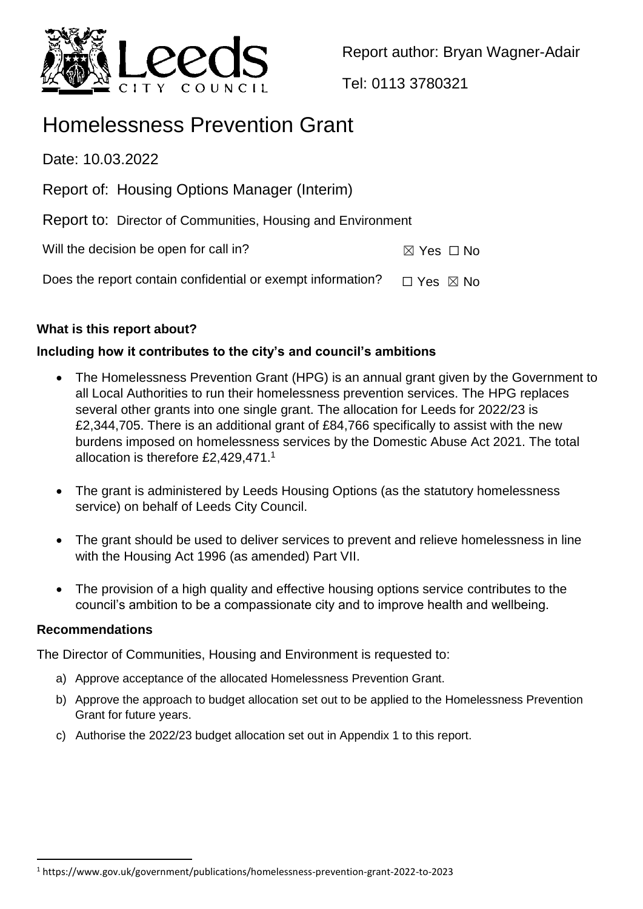

Report author: Bryan Wagner-Adair

Tel: 0113 3780321

# Homelessness Prevention Grant

Date: 10.03.2022

- Report of: Housing Options Manager (Interim)
- Report to: Director of Communities, Housing and Environment

Will the decision be open for call in?  $\boxtimes$  Yes  $\Box$  No

Does the report contain confidential or exempt information?  $\Box$  Yes  $\boxtimes$  No

# **What is this report about?**

# **Including how it contributes to the city's and council's ambitions**

- The Homelessness Prevention Grant (HPG) is an annual grant given by the Government to all Local Authorities to run their homelessness prevention services. The HPG replaces several other grants into one single grant. The allocation for Leeds for 2022/23 is £2,344,705. There is an additional grant of £84,766 specifically to assist with the new burdens imposed on homelessness services by the Domestic Abuse Act 2021. The total allocation is therefore £2,429,471.<sup>1</sup>
- The grant is administered by Leeds Housing Options (as the statutory homelessness service) on behalf of Leeds City Council.
- The grant should be used to deliver services to prevent and relieve homelessness in line with the Housing Act 1996 (as amended) Part VII.
- The provision of a high quality and effective housing options service contributes to the council's ambition to be a compassionate city and to improve health and wellbeing.

## **Recommendations**

 $\ddot{\phantom{a}}$ 

The Director of Communities, Housing and Environment is requested to:

- a) Approve acceptance of the allocated Homelessness Prevention Grant.
- b) Approve the approach to budget allocation set out to be applied to the Homelessness Prevention Grant for future years.
- c) Authorise the 2022/23 budget allocation set out in Appendix 1 to this report.

<sup>1</sup> https://www.gov.uk/government/publications/homelessness-prevention-grant-2022-to-2023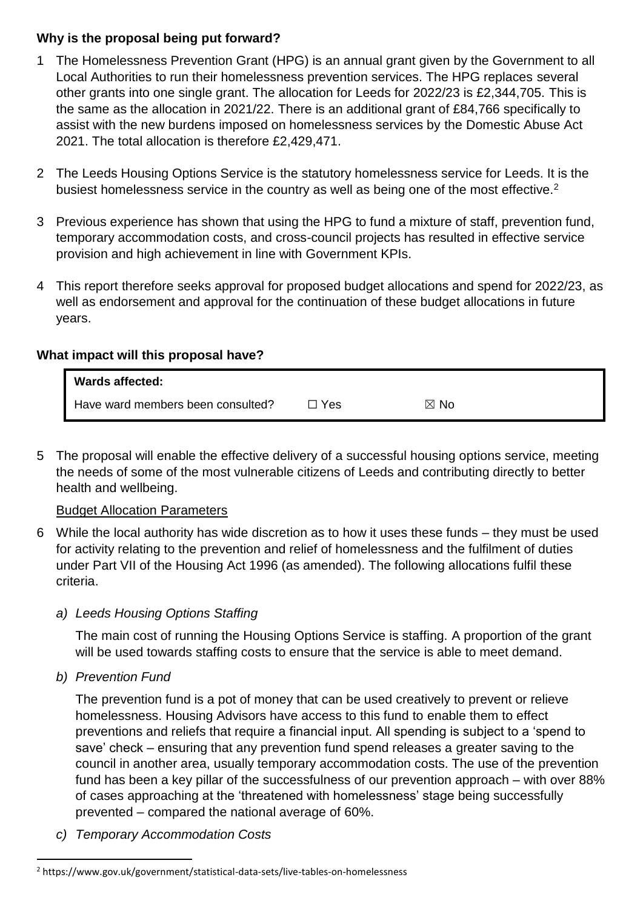#### **Why is the proposal being put forward?**

- 1 The Homelessness Prevention Grant (HPG) is an annual grant given by the Government to all Local Authorities to run their homelessness prevention services. The HPG replaces several other grants into one single grant. The allocation for Leeds for 2022/23 is £2,344,705. This is the same as the allocation in 2021/22. There is an additional grant of £84,766 specifically to assist with the new burdens imposed on homelessness services by the Domestic Abuse Act 2021. The total allocation is therefore £2,429,471.
- 2 The Leeds Housing Options Service is the statutory homelessness service for Leeds. It is the busiest homelessness service in the country as well as being one of the most effective.<sup>2</sup>
- 3 Previous experience has shown that using the HPG to fund a mixture of staff, prevention fund, temporary accommodation costs, and cross-council projects has resulted in effective service provision and high achievement in line with Government KPIs.
- 4 This report therefore seeks approval for proposed budget allocations and spend for 2022/23, as well as endorsement and approval for the continuation of these budget allocations in future years.

#### **What impact will this proposal have?**

| <b>Wards affected:</b>            |     |                |  |
|-----------------------------------|-----|----------------|--|
| Have ward members been consulted? | Yes | $\boxtimes$ No |  |

5 The proposal will enable the effective delivery of a successful housing options service, meeting the needs of some of the most vulnerable citizens of Leeds and contributing directly to better health and wellbeing.

#### Budget Allocation Parameters

6 While the local authority has wide discretion as to how it uses these funds – they must be used for activity relating to the prevention and relief of homelessness and the fulfilment of duties under Part VII of the Housing Act 1996 (as amended). The following allocations fulfil these criteria.

#### *a) Leeds Housing Options Staffing*

The main cost of running the Housing Options Service is staffing. A proportion of the grant will be used towards staffing costs to ensure that the service is able to meet demand.

*b) Prevention Fund*

 $\ddot{\phantom{a}}$ 

The prevention fund is a pot of money that can be used creatively to prevent or relieve homelessness. Housing Advisors have access to this fund to enable them to effect preventions and reliefs that require a financial input. All spending is subject to a 'spend to save' check – ensuring that any prevention fund spend releases a greater saving to the council in another area, usually temporary accommodation costs. The use of the prevention fund has been a key pillar of the successfulness of our prevention approach – with over 88% of cases approaching at the 'threatened with homelessness' stage being successfully prevented – compared the national average of 60%.

*c) Temporary Accommodation Costs*

<sup>2</sup> https://www.gov.uk/government/statistical-data-sets/live-tables-on-homelessness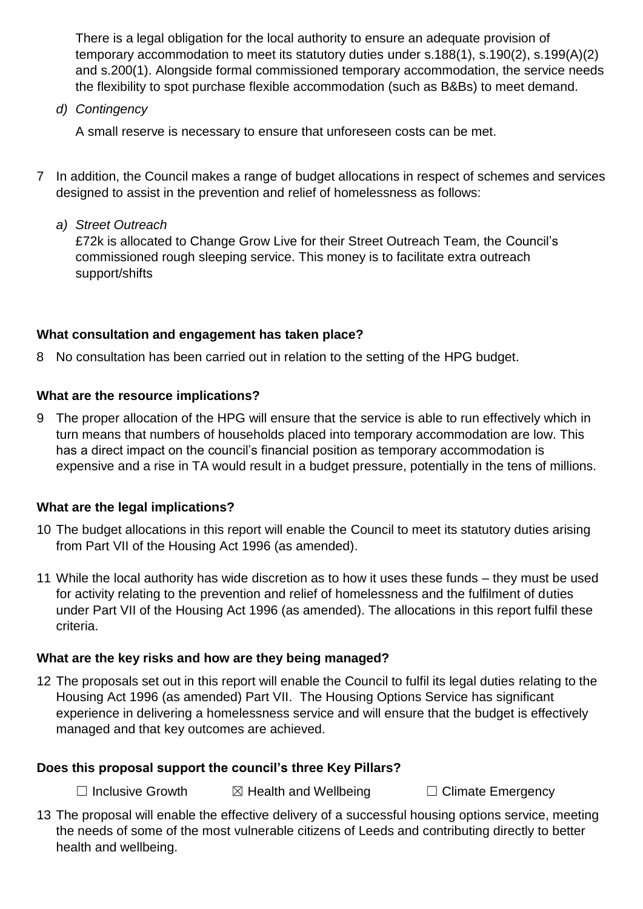There is a legal obligation for the local authority to ensure an adequate provision of temporary accommodation to meet its statutory duties under s.188(1), s.190(2), s.199(A)(2) and s.200(1). Alongside formal commissioned temporary accommodation, the service needs the flexibility to spot purchase flexible accommodation (such as B&Bs) to meet demand.

*d) Contingency*

A small reserve is necessary to ensure that unforeseen costs can be met.

- 7 In addition, the Council makes a range of budget allocations in respect of schemes and services designed to assist in the prevention and relief of homelessness as follows:
	- *a) Street Outreach*

£72k is allocated to Change Grow Live for their Street Outreach Team, the Council's commissioned rough sleeping service. This money is to facilitate extra outreach support/shifts

## **What consultation and engagement has taken place?**

8 No consultation has been carried out in relation to the setting of the HPG budget.

#### **What are the resource implications?**

9 The proper allocation of the HPG will ensure that the service is able to run effectively which in turn means that numbers of households placed into temporary accommodation are low. This has a direct impact on the council's financial position as temporary accommodation is expensive and a rise in TA would result in a budget pressure, potentially in the tens of millions.

#### **What are the legal implications?**

- 10 The budget allocations in this report will enable the Council to meet its statutory duties arising from Part VII of the Housing Act 1996 (as amended).
- 11 While the local authority has wide discretion as to how it uses these funds they must be used for activity relating to the prevention and relief of homelessness and the fulfilment of duties under Part VII of the Housing Act 1996 (as amended). The allocations in this report fulfil these criteria.

#### **What are the key risks and how are they being managed?**

12 The proposals set out in this report will enable the Council to fulfil its legal duties relating to the Housing Act 1996 (as amended) Part VII. The Housing Options Service has significant experience in delivering a homelessness service and will ensure that the budget is effectively managed and that key outcomes are achieved.

#### **Does this proposal support the council's three Key Pillars?**

☐ Inclusive Growth ☒ Health and Wellbeing ☐ Climate Emergency

13 The proposal will enable the effective delivery of a successful housing options service, meeting the needs of some of the most vulnerable citizens of Leeds and contributing directly to better health and wellbeing.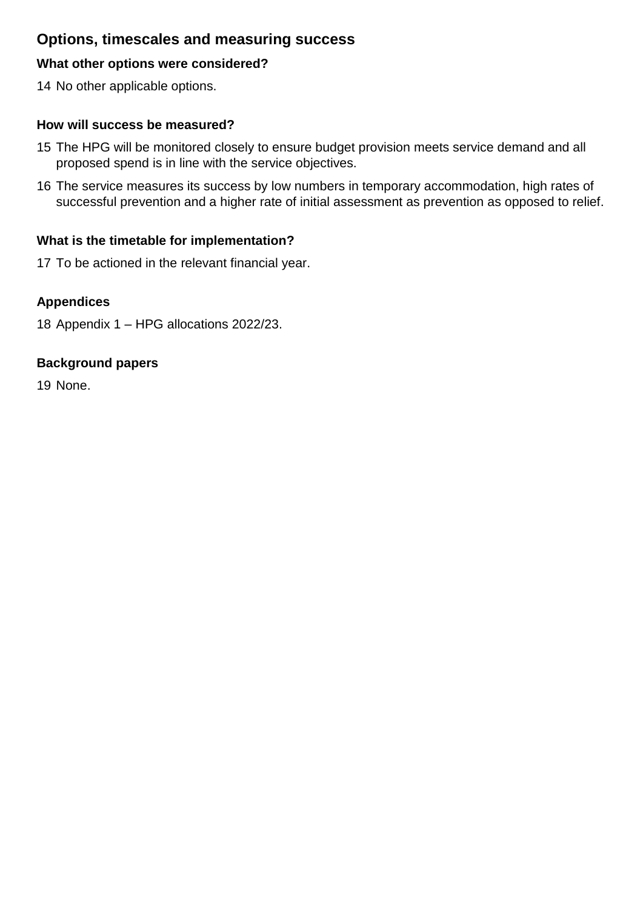# **Options, timescales and measuring success**

#### **What other options were considered?**

14 No other applicable options.

#### **How will success be measured?**

- 15 The HPG will be monitored closely to ensure budget provision meets service demand and all proposed spend is in line with the service objectives.
- 16 The service measures its success by low numbers in temporary accommodation, high rates of successful prevention and a higher rate of initial assessment as prevention as opposed to relief.

#### **What is the timetable for implementation?**

17 To be actioned in the relevant financial year.

#### **Appendices**

18 Appendix 1 – HPG allocations 2022/23.

#### **Background papers**

19 None.